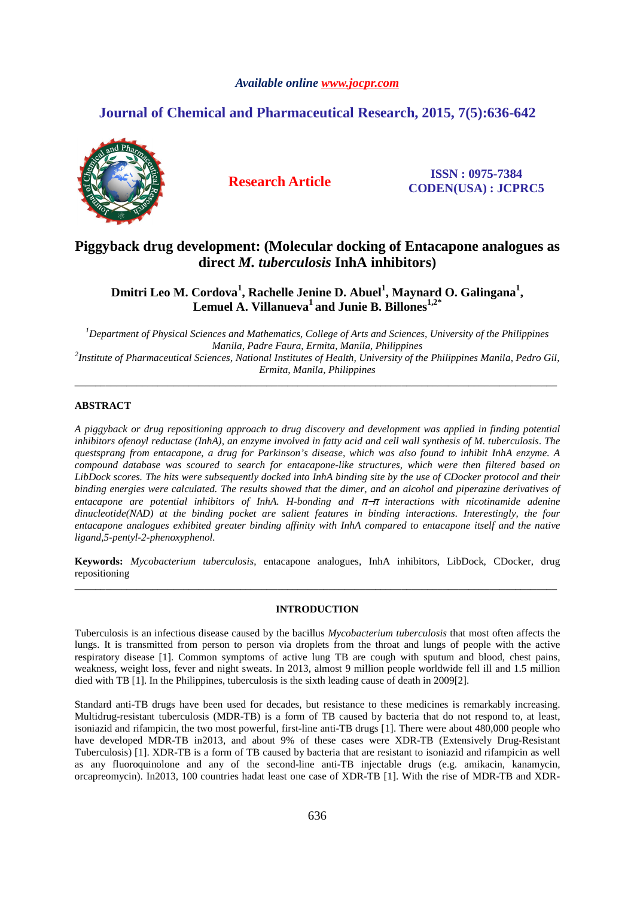# *Available online www.jocpr.com*

# **Journal of Chemical and Pharmaceutical Research, 2015, 7(5):636-642**



**Research Article ISSN : 0975-7384 CODEN(USA) : JCPRC5**

# **Piggyback drug development: (Molecular docking of Entacapone analogues as direct** *M. tuberculosis* **InhA inhibitors)**

**Dmitri Leo M. Cordova<sup>1</sup> , Rachelle Jenine D. Abuel<sup>1</sup> , Maynard O. Galingana<sup>1</sup> , Lemuel A. Villanueva<sup>1</sup>and Junie B. Billones1,2\***

*<sup>1</sup>Department of Physical Sciences and Mathematics, College of Arts and Sciences, University of the Philippines Manila, Padre Faura, Ermita, Manila, Philippines 2 Institute of Pharmaceutical Sciences, National Institutes of Health, University of the Philippines Manila, Pedro Gil, Ermita, Manila, Philippines* 

\_\_\_\_\_\_\_\_\_\_\_\_\_\_\_\_\_\_\_\_\_\_\_\_\_\_\_\_\_\_\_\_\_\_\_\_\_\_\_\_\_\_\_\_\_\_\_\_\_\_\_\_\_\_\_\_\_\_\_\_\_\_\_\_\_\_\_\_\_\_\_\_\_\_\_\_\_\_\_\_\_\_\_\_\_\_\_\_\_\_\_\_\_

# **ABSTRACT**

*A piggyback or drug repositioning approach to drug discovery and development was applied in finding potential inhibitors ofenoyl reductase (InhA), an enzyme involved in fatty acid and cell wall synthesis of M. tuberculosis. The questsprang from entacapone, a drug for Parkinson's disease, which was also found to inhibit InhA enzyme. A compound database was scoured to search for entacapone-like structures, which were then filtered based on LibDock scores. The hits were subsequently docked into InhA binding site by the use of CDocker protocol and their binding energies were calculated. The results showed that the dimer, and an alcohol and piperazine derivatives of entacapone are potential inhibitors of InhA. H-bonding and* π−π *interactions with nicotinamide adenine dinucleotide(NAD) at the binding pocket are salient features in binding interactions. Interestingly, the four entacapone analogues exhibited greater binding affinity with InhA compared to entacapone itself and the native ligand,5-pentyl-2-phenoxyphenol.* 

**Keywords:** *Mycobacterium tuberculosis*, entacapone analogues, InhA inhibitors, LibDock, CDocker, drug repositioning \_\_\_\_\_\_\_\_\_\_\_\_\_\_\_\_\_\_\_\_\_\_\_\_\_\_\_\_\_\_\_\_\_\_\_\_\_\_\_\_\_\_\_\_\_\_\_\_\_\_\_\_\_\_\_\_\_\_\_\_\_\_\_\_\_\_\_\_\_\_\_\_\_\_\_\_\_\_\_\_\_\_\_\_\_\_\_\_\_\_\_\_\_

# **INTRODUCTION**

Tuberculosis is an infectious disease caused by the bacillus *Mycobacterium tuberculosis* that most often affects the lungs. It is transmitted from person to person via droplets from the throat and lungs of people with the active respiratory disease [1]. Common symptoms of active lung TB are cough with sputum and blood, chest pains, weakness, weight loss, fever and night sweats. In 2013, almost 9 million people worldwide fell ill and 1.5 million died with TB [1]. In the Philippines, tuberculosis is the sixth leading cause of death in 2009[2].

Standard anti-TB drugs have been used for decades, but resistance to these medicines is remarkably increasing. Multidrug-resistant tuberculosis (MDR-TB) is a form of TB caused by bacteria that do not respond to, at least, isoniazid and rifampicin, the two most powerful, first-line anti-TB drugs [1]. There were about 480,000 people who have developed MDR-TB in2013, and about 9% of these cases were XDR-TB (Extensively Drug-Resistant Tuberculosis) [1]. XDR-TB is a form of TB caused by bacteria that are resistant to isoniazid and rifampicin as well as any fluoroquinolone and any of the second-line anti-TB injectable drugs (e.g. amikacin, kanamycin, orcapreomycin). In2013, 100 countries hadat least one case of XDR-TB [1]. With the rise of MDR-TB and XDR-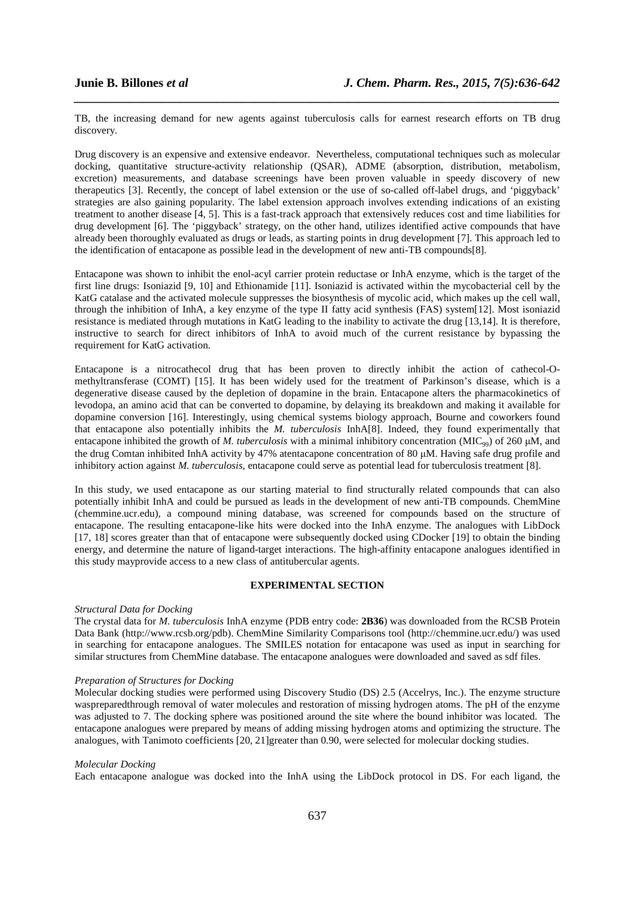TB, the increasing demand for new agents against tuberculosis calls for earnest research efforts on TB drug discovery.

*\_\_\_\_\_\_\_\_\_\_\_\_\_\_\_\_\_\_\_\_\_\_\_\_\_\_\_\_\_\_\_\_\_\_\_\_\_\_\_\_\_\_\_\_\_\_\_\_\_\_\_\_\_\_\_\_\_\_\_\_\_\_\_\_\_\_\_\_\_\_\_\_\_\_\_\_\_\_*

Drug discovery is an expensive and extensive endeavor. Nevertheless, computational techniques such as molecular docking, quantitative structure-activity relationship (QSAR), ADME (absorption, distribution, metabolism, excretion) measurements, and database screenings have been proven valuable in speedy discovery of new therapeutics [3]. Recently, the concept of label extension or the use of so-called off-label drugs, and 'piggyback' strategies are also gaining popularity. The label extension approach involves extending indications of an existing treatment to another disease [4, 5]. This is a fast-track approach that extensively reduces cost and time liabilities for drug development [6]. The 'piggyback' strategy, on the other hand, utilizes identified active compounds that have already been thoroughly evaluated as drugs or leads, as starting points in drug development [7]. This approach led to the identification of entacapone as possible lead in the development of new anti-TB compounds[8].

Entacapone was shown to inhibit the enol-acyl carrier protein reductase or InhA enzyme, which is the target of the first line drugs: Isoniazid [9, 10] and Ethionamide [11]. Isoniazid is activated within the mycobacterial cell by the KatG catalase and the activated molecule suppresses the biosynthesis of mycolic acid, which makes up the cell wall, through the inhibition of InhA, a key enzyme of the type II fatty acid synthesis (FAS) system[12]. Most isoniazid resistance is mediated through mutations in KatG leading to the inability to activate the drug [13,14]. It is therefore, instructive to search for direct inhibitors of InhA to avoid much of the current resistance by bypassing the requirement for KatG activation.

Entacapone is a nitrocathecol drug that has been proven to directly inhibit the action of cathecol-Omethyltransferase (COMT) [15]. It has been widely used for the treatment of Parkinson's disease, which is a degenerative disease caused by the depletion of dopamine in the brain. Entacapone alters the pharmacokinetics of levodopa, an amino acid that can be converted to dopamine, by delaying its breakdown and making it available for dopamine conversion [16]. Interestingly, using chemical systems biology approach, Bourne and coworkers found that entacapone also potentially inhibits the *M. tuberculosis* InhA[8]. Indeed, they found experimentally that entacapone inhibited the growth of *M. tuberculosis* with a minimal inhibitory concentration (MIC<sub>99</sub>) of 260 µM, and the drug Comtan inhibited InhA activity by 47% atentacapone concentration of 80 µM. Having safe drug profile and inhibitory action against *M. tuberculosis*, entacapone could serve as potential lead for tuberculosis treatment [8].

In this study, we used entacapone as our starting material to find structurally related compounds that can also potentially inhibit InhA and could be pursued as leads in the development of new anti-TB compounds. ChemMine (chemmine.ucr.edu), a compound mining database, was screened for compounds based on the structure of entacapone. The resulting entacapone-like hits were docked into the InhA enzyme. The analogues with LibDock [17, 18] scores greater than that of entacapone were subsequently docked using CDocker [19] to obtain the binding energy, and determine the nature of ligand-target interactions. The high-affinity entacapone analogues identified in this study mayprovide access to a new class of antitubercular agents.

## **EXPERIMENTAL SECTION**

### *Structural Data for Docking*

The crystal data for *M. tuberculosis* InhA enzyme (PDB entry code: **2B36**) was downloaded from the RCSB Protein Data Bank (http://www.rcsb.org/pdb). ChemMine Similarity Comparisons tool (http://chemmine.ucr.edu/) was used in searching for entacapone analogues. The SMILES notation for entacapone was used as input in searching for similar structures from ChemMine database. The entacapone analogues were downloaded and saved as sdf files.

## *Preparation of Structures for Docking*

Molecular docking studies were performed using Discovery Studio (DS) 2.5 (Accelrys, Inc.). The enzyme structure waspreparedthrough removal of water molecules and restoration of missing hydrogen atoms. The pH of the enzyme was adjusted to 7. The docking sphere was positioned around the site where the bound inhibitor was located. The entacapone analogues were prepared by means of adding missing hydrogen atoms and optimizing the structure. The analogues, with Tanimoto coefficients [20, 21]greater than 0.90, were selected for molecular docking studies.

### *Molecular Docking*

Each entacapone analogue was docked into the InhA using the LibDock protocol in DS. For each ligand, the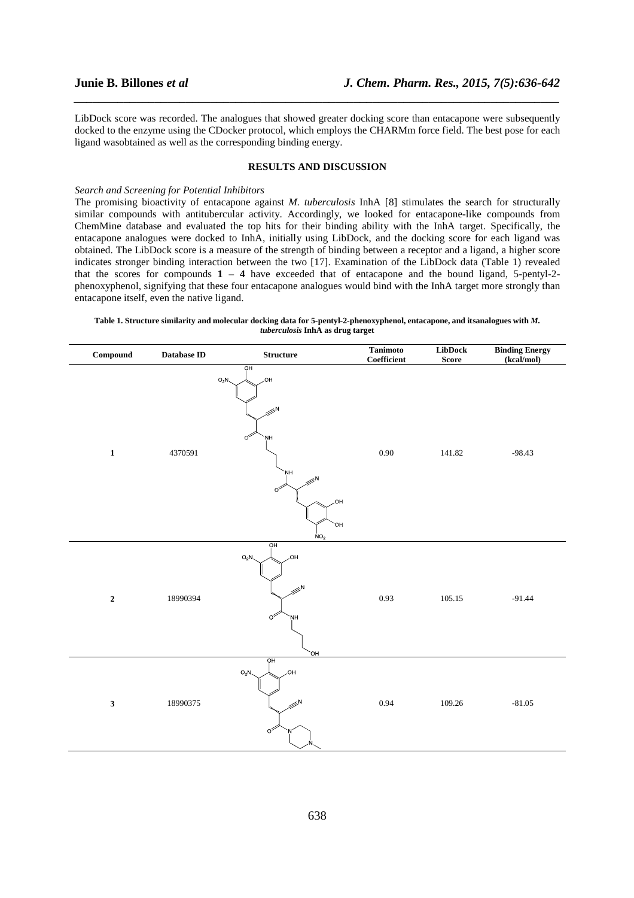LibDock score was recorded. The analogues that showed greater docking score than entacapone were subsequently docked to the enzyme using the CDocker protocol, which employs the CHARMm force field. The best pose for each ligand wasobtained as well as the corresponding binding energy.

*\_\_\_\_\_\_\_\_\_\_\_\_\_\_\_\_\_\_\_\_\_\_\_\_\_\_\_\_\_\_\_\_\_\_\_\_\_\_\_\_\_\_\_\_\_\_\_\_\_\_\_\_\_\_\_\_\_\_\_\_\_\_\_\_\_\_\_\_\_\_\_\_\_\_\_\_\_\_*

### **RESULTS AND DISCUSSION**

### *Search and Screening for Potential Inhibitors*

The promising bioactivity of entacapone against *M. tuberculosis* InhA [8] stimulates the search for structurally similar compounds with antitubercular activity. Accordingly, we looked for entacapone-like compounds from ChemMine database and evaluated the top hits for their binding ability with the InhA target. Specifically, the entacapone analogues were docked to InhA, initially using LibDock, and the docking score for each ligand was obtained. The LibDock score is a measure of the strength of binding between a receptor and a ligand, a higher score indicates stronger binding interaction between the two [17]. Examination of the LibDock data (Table 1) revealed that the scores for compounds  $1 - 4$  have exceeded that of entacapone and the bound ligand, 5-pentyl-2phenoxyphenol, signifying that these four entacapone analogues would bind with the InhA target more strongly than entacapone itself, even the native ligand.

**Table 1. Structure similarity and molecular docking data for 5-pentyl-2-phenoxyphenol, entacapone, and itsanalogues with** *M. tuberculosis* **InhA as drug target** 

| $\label{subeq:compound} \textbf{Compound}$ | Database ${\rm ID}$ | ${\bf Structure}$                                                                                                                                                     | <b>Tanimoto</b><br>Coefficient | LibDock<br>Score | <b>Binding Energy</b><br>(kcal/mol) |
|--------------------------------------------|---------------------|-----------------------------------------------------------------------------------------------------------------------------------------------------------------------|--------------------------------|------------------|-------------------------------------|
| $\mathbf{1}$                               | 4370591             | O <sub>H</sub><br>,OH<br>$O_2N$<br>$\mathbb{Z}^{\mathsf{N}}$<br>$\circ^2$<br><b>NH</b><br>NH.<br>$\gg^{\mathsf{N}}$<br>$\circ$<br><b>HO</b><br>HO.<br>NO <sub>2</sub> | $0.90\,$                       | 141.82           | $-98.43$                            |
| $\mathbf 2$                                | 18990394            | OH<br>$O_2N$<br>,OH<br>$\gg^{\mathsf{N}}$<br>$\circ^{\!\!\heartsuit}$<br>NH<br>HO <sup>'</sup>                                                                        | 0.93                           | 105.15           | $-91.44$                            |
| $\mathbf{3}$                               | 18990375            | OH<br>,OH<br>$O_2N$<br>$\mathcal{D}^N$<br>$\circ^{\!\!\heartsuit}$<br>N                                                                                               | 0.94                           | 109.26           | $-81.05$                            |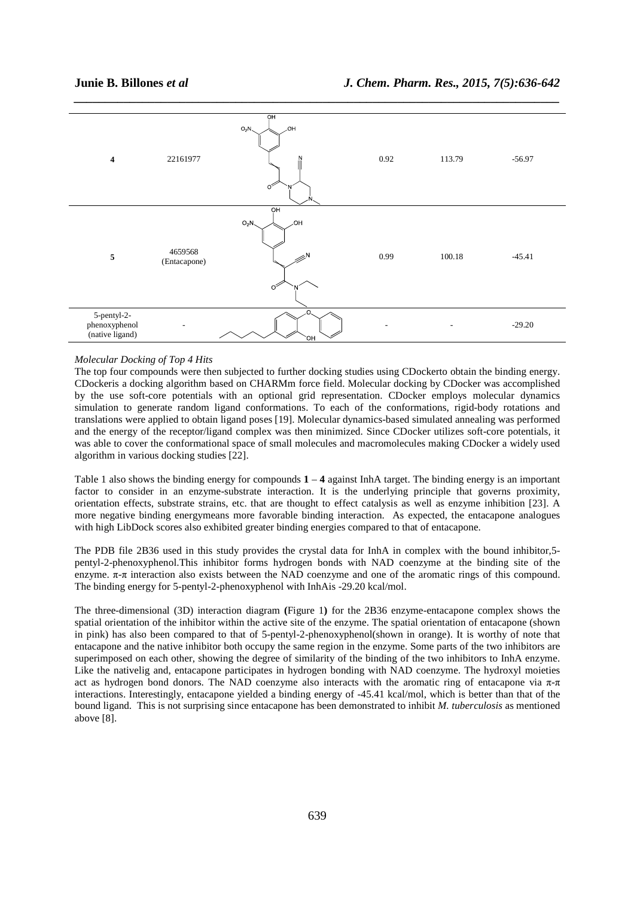

### *Molecular Docking of Top 4 Hits*

The top four compounds were then subjected to further docking studies using CDockerto obtain the binding energy. CDockeris a docking algorithm based on CHARMm force field. Molecular docking by CDocker was accomplished by the use soft-core potentials with an optional grid representation. CDocker employs molecular dynamics simulation to generate random ligand conformations. To each of the conformations, rigid-body rotations and translations were applied to obtain ligand poses [19]. Molecular dynamics-based simulated annealing was performed and the energy of the receptor/ligand complex was then minimized. Since CDocker utilizes soft-core potentials, it was able to cover the conformational space of small molecules and macromolecules making CDocker a widely used algorithm in various docking studies [22].

Table 1 also shows the binding energy for compounds **1** – **4** against InhA target. The binding energy is an important factor to consider in an enzyme-substrate interaction. It is the underlying principle that governs proximity, orientation effects, substrate strains, etc. that are thought to effect catalysis as well as enzyme inhibition [23]. A more negative binding energymeans more favorable binding interaction. As expected, the entacapone analogues with high LibDock scores also exhibited greater binding energies compared to that of entacapone.

The PDB file 2B36 used in this study provides the crystal data for InhA in complex with the bound inhibitor,5 pentyl-2-phenoxyphenol.This inhibitor forms hydrogen bonds with NAD coenzyme at the binding site of the enzyme. π-π interaction also exists between the NAD coenzyme and one of the aromatic rings of this compound. The binding energy for 5-pentyl-2-phenoxyphenol with InhAis -29.20 kcal/mol.

The three-dimensional (3D) interaction diagram **(**Figure 1**)** for the 2B36 enzyme-entacapone complex shows the spatial orientation of the inhibitor within the active site of the enzyme. The spatial orientation of entacapone (shown in pink) has also been compared to that of 5-pentyl-2-phenoxyphenol(shown in orange). It is worthy of note that entacapone and the native inhibitor both occupy the same region in the enzyme. Some parts of the two inhibitors are superimposed on each other, showing the degree of similarity of the binding of the two inhibitors to InhA enzyme. Like the nativelig and, entacapone participates in hydrogen bonding with NAD coenzyme. The hydroxyl moieties act as hydrogen bond donors. The NAD coenzyme also interacts with the aromatic ring of entacapone via  $\pi$ -π interactions. Interestingly, entacapone yielded a binding energy of -45.41 kcal/mol, which is better than that of the bound ligand. This is not surprising since entacapone has been demonstrated to inhibit *M. tuberculosis* as mentioned above [8].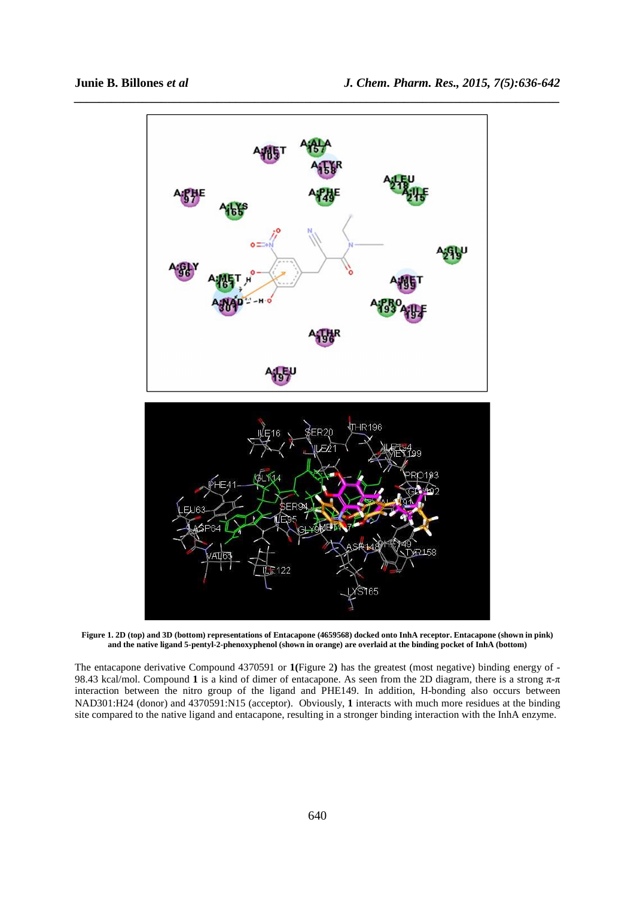

**Figure 1. 2D (top) and 3D (bottom) representations of Entacapone (4659568) docked onto InhA receptor. Entacapone (shown in pink) and the native ligand 5-pentyl-2-phenoxyphenol (shown in orange) are overlaid at the binding pocket of InhA (bottom)** 

The entacapone derivative Compound 4370591 or **1(**Figure 2**)** has the greatest (most negative) binding energy of - 98.43 kcal/mol. Compound **1** is a kind of dimer of entacapone. As seen from the 2D diagram, there is a strong π-π interaction between the nitro group of the ligand and PHE149. In addition, H-bonding also occurs between NAD301:H24 (donor) and 4370591:N15 (acceptor). Obviously, **1** interacts with much more residues at the binding site compared to the native ligand and entacapone, resulting in a stronger binding interaction with the InhA enzyme.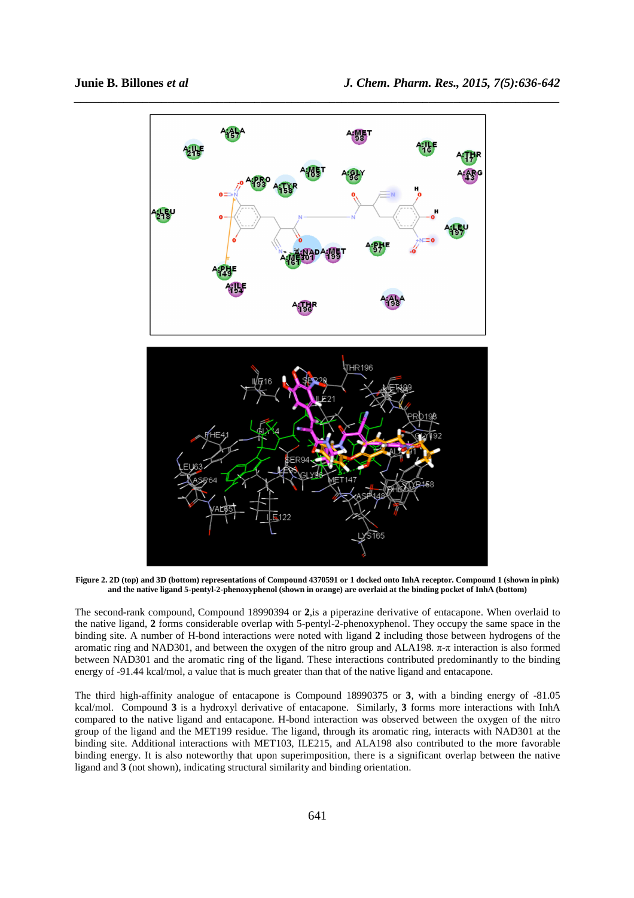

**Figure 2. 2D (top) and 3D (bottom) representations of Compound 4370591 or 1 docked onto InhA receptor. Compound 1 (shown in pink) and the native ligand 5-pentyl-2-phenoxyphenol (shown in orange) are overlaid at the binding pocket of InhA (bottom)** 

The second-rank compound, Compound 18990394 or **2**,is a piperazine derivative of entacapone. When overlaid to the native ligand, **2** forms considerable overlap with 5-pentyl-2-phenoxyphenol. They occupy the same space in the binding site. A number of H-bond interactions were noted with ligand **2** including those between hydrogens of the aromatic ring and NAD301, and between the oxygen of the nitro group and ALA198. π-π interaction is also formed between NAD301 and the aromatic ring of the ligand. These interactions contributed predominantly to the binding energy of -91.44 kcal/mol, a value that is much greater than that of the native ligand and entacapone.

The third high-affinity analogue of entacapone is Compound 18990375 or **3**, with a binding energy of -81.05 kcal/mol. Compound **3** is a hydroxyl derivative of entacapone. Similarly, **3** forms more interactions with InhA compared to the native ligand and entacapone. H-bond interaction was observed between the oxygen of the nitro group of the ligand and the MET199 residue. The ligand, through its aromatic ring, interacts with NAD301 at the binding site. Additional interactions with MET103, ILE215, and ALA198 also contributed to the more favorable binding energy. It is also noteworthy that upon superimposition, there is a significant overlap between the native ligand and **3** (not shown), indicating structural similarity and binding orientation.